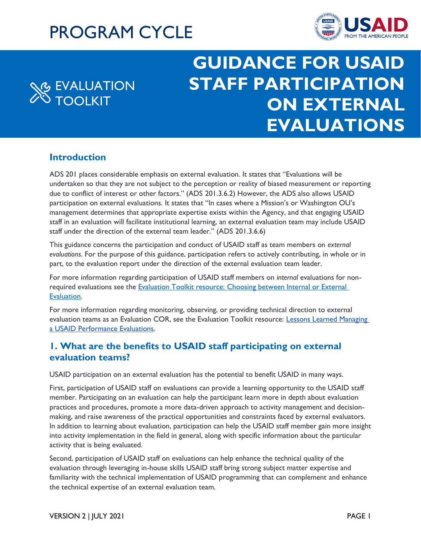# PROGRAM CYCLE



# EVALUATION TOOLKIT

# **T CAN RUNAWAY GUIDANCE FOR USAID STAFF PARTICIPATION<br>ON EXTERNAL ON EXTERNAL<br>EVALUATIONS**

## **Introduction**

ADS 201 places considerable emphasis on external evaluation. It states that "Evaluations will be undertaken so that they are not subject to the perception or reality of biased measurement or reporting due to conflict of interest or other factors." (ADS 201.3.6.2) However, the ADS also allows USAID participation on external evaluations. It states that "In cases where a Mission's or Washington OU's management determines that appropriate expertise exists within the Agency, and that engaging USAID staff in an evaluation will facilitate institutional learning, an external evaluation team may include USAID staff under the direction of the external team leader." (ADS 201.3.6.6)

This guidance concerns the participation and conduct of USAID staff as team members on *external evaluations*. For the purpose of this guidance, participation refers to actively contributing, in whole or in part, to the evaluation report under the direction of the external evaluation team leader.

For more information regarding participation of USAID staff members on *internal* evaluations for nonrequired evaluations see the [Evaluation Toolkit resource: Choosing between Internal or External](https://usaidlearninglab.org/library/choosing-between-internal-and-external-evaluations)  [Evaluation.](https://usaidlearninglab.org/library/choosing-between-internal-and-external-evaluations) 

For more information regarding monitoring, observing, or providing technical direction to external evaluation teams as an Evaluation COR, see the Evaluation Toolkit resource: Lessons Learned Managing [a USAID Performance Evaluations.](https://usaidlearninglab.org/library/lessons-learned-managing-external-performance-evaluations)

## **1. What are the benefits to USAID staff participating on external evaluation teams?**

USAID participation on an external evaluation has the potential to benefit USAID in many ways.

First, participation of USAID staff on evaluations can provide a learning opportunity to the USAID staff member. Participating on an evaluation can help the participant learn more in depth about evaluation practices and procedures, promote a more data-driven approach to activity management and decisionmaking, and raise awareness of the practical opportunities and constraints faced by external evaluators. In addition to learning about evaluation, participation can help the USAID staff member gain more insight into activity implementation in the field in general, along with specific information about the particular activity that is being evaluated.

Second, participation of USAID staff on evaluations can help enhance the technical quality of the evaluation through leveraging in-house skills USAID staff bring strong subject matter expertise and familiarity with the technical implementation of USAID programming that can complement and enhance the technical expertise of an external evaluation team.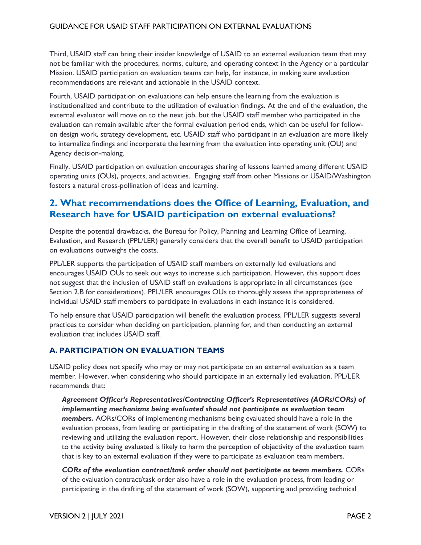#### GUIDANCE FOR USAID STAFF PARTICIPATION ON EXTERNAL EVALUATIONS

Third, USAID staff can bring their insider knowledge of USAID to an external evaluation team that may not be familiar with the procedures, norms, culture, and operating context in the Agency or a particular Mission. USAID participation on evaluation teams can help, for instance, in making sure evaluation recommendations are relevant and actionable in the USAID context.

Fourth, USAID participation on evaluations can help ensure the learning from the evaluation is institutionalized and contribute to the utilization of evaluation findings. At the end of the evaluation, the external evaluator will move on to the next job, but the USAID staff member who participated in the evaluation can remain available after the formal evaluation period ends, which can be useful for followon design work, strategy development, etc. USAID staff who participant in an evaluation are more likely to internalize findings and incorporate the learning from the evaluation into operating unit (OU) and Agency decision-making.

Finally, USAID participation on evaluation encourages sharing of lessons learned among different USAID operating units (OUs), projects, and activities. Engaging staff from other Missions or USAID/Washington fosters a natural cross-pollination of ideas and learning.

### **2. What recommendations does the Office of Learning, Evaluation, and Research have for USAID participation on external evaluations?**

Despite the potential drawbacks, the Bureau for Policy, Planning and Learning Office of Learning, Evaluation, and Research (PPL/LER) generally considers that the overall benefit to USAID participation on evaluations outweighs the costs.

PPL/LER supports the participation of USAID staff members on externally led evaluations and encourages USAID OUs to seek out ways to increase such participation. However, this support does not suggest that the inclusion of USAID staff on evaluations is appropriate in all circumstances (see Section 2.B for considerations). PPL/LER encourages OUs to thoroughly assess the appropriateness of individual USAID staff members to participate in evaluations in each instance it is considered.

To help ensure that USAID participation will benefit the evaluation process, PPL/LER suggests several practices to consider when deciding on participation, planning for, and then conducting an external evaluation that includes USAID staff.

#### **A. PARTICIPATION ON EVALUATION TEAMS**

USAID policy does not specify who may or may not participate on an external evaluation as a team member. However, when considering who should participate in an externally led evaluation, PPL/LER recommends that:

*Agreement Officer's Representatives/Contracting Officer's Representatives (AORs/CORs) of implementing mechanisms being evaluated should not participate as evaluation team members.* AORs/CORs of implementing mechanisms being evaluated should have a role in the evaluation process, from leading or participating in the drafting of the statement of work (SOW) to reviewing and utilizing the evaluation report. However, their close relationship and responsibilities to the activity being evaluated is likely to harm the perception of objectivity of the evaluation team that is key to an external evaluation if they were to participate as evaluation team members.

*CORs of the evaluation contract/task order should not participate as team members.* CORs of the evaluation contract/task order also have a role in the evaluation process, from leading or participating in the drafting of the statement of work (SOW), supporting and providing technical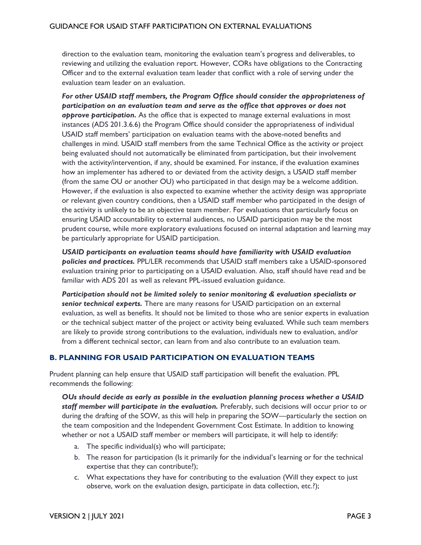direction to the evaluation team, monitoring the evaluation team's progress and deliverables, to reviewing and utilizing the evaluation report. However, CORs have obligations to the Contracting Officer and to the external evaluation team leader that conflict with a role of serving under the evaluation team leader on an evaluation.

*For other USAID staff members, the Program Office should consider the appropriateness of participation on an evaluation team and serve as the office that approves or does not approve participation.* As the office that is expected to manage external evaluations in most instances (ADS 201.3.6.6) the Program Office should consider the appropriateness of individual USAID staff members' participation on evaluation teams with the above-noted benefits and challenges in mind. USAID staff members from the same Technical Office as the activity or project being evaluated should not automatically be eliminated from participation, but their involvement with the activity/intervention, if any, should be examined. For instance, if the evaluation examines how an implementer has adhered to or deviated from the activity design, a USAID staff member (from the same OU or another OU) who participated in that design may be a welcome addition. However, if the evaluation is also expected to examine whether the activity design was appropriate or relevant given country conditions, then a USAID staff member who participated in the design of the activity is unlikely to be an objective team member. For evaluations that particularly focus on ensuring USAID accountability to external audiences, no USAID participation may be the most prudent course, while more exploratory evaluations focused on internal adaptation and learning may be particularly appropriate for USAID participation.

*USAID participants on evaluation teams should have familiarity with USAID evaluation policies and practices.* PPL/LER recommends that USAID staff members take a USAID-sponsored evaluation training prior to participating on a USAID evaluation. Also, staff should have read and be familiar with ADS 201 as well as relevant PPL-issued evaluation guidance.

*Participation should not be limited solely to senior monitoring & evaluation specialists or senior technical experts.* There are many reasons for USAID participation on an external evaluation, as well as benefits. It should not be limited to those who are senior experts in evaluation or the technical subject matter of the project or activity being evaluated. While such team members are likely to provide strong contributions to the evaluation, individuals new to evaluation, and/or from a different technical sector, can learn from and also contribute to an evaluation team.

#### **B. PLANNING FOR USAID PARTICIPATION ON EVALUATION TEAMS**

Prudent planning can help ensure that USAID staff participation will benefit the evaluation. PPL recommends the following:

*OUs should decide as early as possible in the evaluation planning process whether a USAID staff member will participate in the evaluation.* Preferably, such decisions will occur prior to or during the drafting of the SOW, as this will help in preparing the SOW—particularly the section on the team composition and the Independent Government Cost Estimate. In addition to knowing whether or not a USAID staff member or members will participate, it will help to identify:

- a. The specific individual(s) who will participate;
- b. The reason for participation (Is it primarily for the individual's learning or for the technical expertise that they can contribute?);
- c. What expectations they have for contributing to the evaluation (Will they expect to just observe, work on the evaluation design, participate in data collection, etc.?);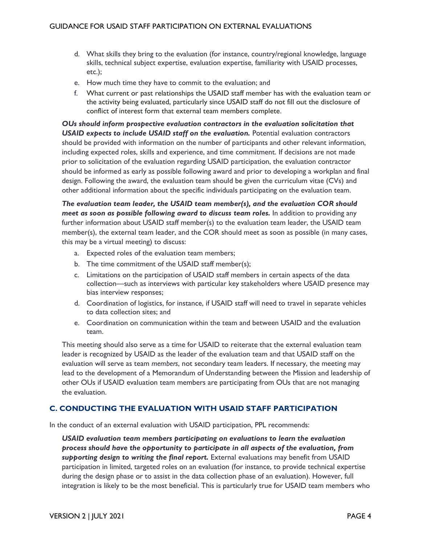- d. What skills they bring to the evaluation (for instance, country/regional knowledge, language skills, technical subject expertise, evaluation expertise, familiarity with USAID processes, etc.);
- e. How much time they have to commit to the evaluation; and
- f. What current or past relationships the USAID staff member has with the evaluation team or the activity being evaluated, particularly since USAID staff do not fill out the disclosure of conflict of interest form that external team members complete.

*OUs should inform prospective evaluation contractors in the evaluation solicitation that USAID expects to include USAID staff on the evaluation.* Potential evaluation contractors should be provided with information on the number of participants and other relevant information, including expected roles, skills and experience, and time commitment. If decisions are not made prior to solicitation of the evaluation regarding USAID participation, the evaluation contractor should be informed as early as possible following award and prior to developing a workplan and final design. Following the award, the evaluation team should be given the curriculum vitae (CVs) and other additional information about the specific individuals participating on the evaluation team.

*The evaluation team leader, the USAID team member(s), and the evaluation COR should meet as soon as possible following award to discuss team roles.* In addition to providing any further information about USAID staff member(s) to the evaluation team leader, the USAID team member(s), the external team leader, and the COR should meet as soon as possible (in many cases, this may be a virtual meeting) to discuss:

- a. Expected roles of the evaluation team members;
- b. The time commitment of the USAID staff member(s);
- c. Limitations on the participation of USAID staff members in certain aspects of the data collection—such as interviews with particular key stakeholders where USAID presence may bias interview responses;
- d. Coordination of logistics, for instance, if USAID staff will need to travel in separate vehicles to data collection sites; and
- e. Coordination on communication within the team and between USAID and the evaluation team.

This meeting should also serve as a time for USAID to reiterate that the external evaluation team leader is recognized by USAID as the leader of the evaluation team and that USAID staff on the evaluation will serve as team *members*, not secondary team leaders. If necessary, the meeting may lead to the development of a Memorandum of Understanding between the Mission and leadership of other OUs if USAID evaluation team members are participating from OUs that are not managing the evaluation.

#### **C. CONDUCTING THE EVALUATION WITH USAID STAFF PARTICIPATION**

In the conduct of an external evaluation with USAID participation, PPL recommends:

*USAID evaluation team members participating on evaluations to learn the evaluation process should have the opportunity to participate in all aspects of the evaluation, from*  supporting design to writing the final report. External evaluations may benefit from USAID participation in limited, targeted roles on an evaluation (for instance, to provide technical expertise during the design phase or to assist in the data collection phase of an evaluation). However, full integration is likely to be the most beneficial. This is particularly true for USAID team members who